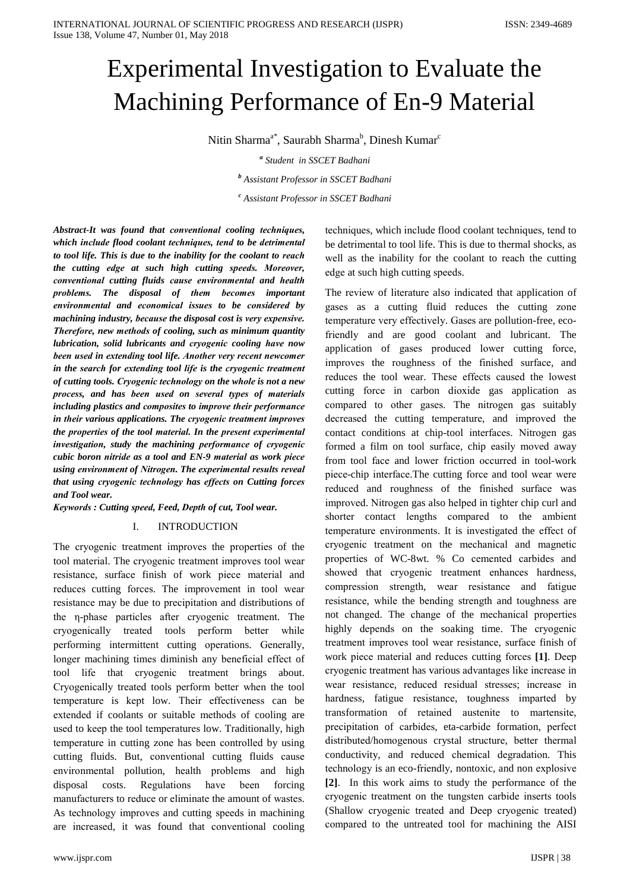# Experimental Investigation to Evaluate the Machining Performance of En-9 Material

Nitin Sharma<sup>a\*</sup>, Saurabh Sharma<sup>b</sup>, Dinesh Kumar<sup>c</sup>

<sup>a</sup> Student in SSCET Badhani

<sup>b</sup> Assistant Professor in SSCET Badhani

<sup>c</sup> Assistant Professor in SSCET Badhani

Abstract-It was found that conventional cooling techniques, which include flood coolant techniques, tend to be detrimental to tool life. This is due to the inability for the coolant to reach the cutting edge at such high cutting speeds. Moreover, conventional cutting fluids cause environmental and health problems. The disposal of them becomes important environmental and economical issues to be considered by machining industry, because the disposal cost is very expensive. Therefore, new methods of cooling, such as minimum quantity lubrication, solid lubricants and cryogenic cooling have now been used in extending tool life. Another very recent newcomer in the search for extending tool life is the cryogenic treatment of cutting tools. Cryogenic technology on the whole is not a new process, and has been used on several types of materials including plastics and composites to improve their performance in their various applications. The cryogenic treatment improves the properties of the tool material. In the present experimental investigation, study the machining performance of cryogenic cubic boron nitride as a tool and EN-9 material as work piece using environment of Nitrogen. The experimental results reveal that using cryogenic technology has effects on Cutting forces and Tool wear.

Keywords : Cutting speed, Feed, Depth of cut, Tool wear.

#### I. **INTRODUCTION**

The cryogenic treatment improves the properties of the tool material. The cryogenic treatment improves tool wear resistance, surface finish of work piece material and reduces cutting forces. The improvement in tool wear resistance may be due to precipitation and distributions of the *n*-phase particles after cryogenic treatment. The cryogenically treated tools perform better while performing intermittent cutting operations. Generally, longer machining times diminish any beneficial effect of tool life that cryogenic treatment brings about. Cryogenically treated tools perform better when the tool temperature is kept low. Their effectiveness can be extended if coolants or suitable methods of cooling are used to keep the tool temperatures low. Traditionally, high temperature in cutting zone has been controlled by using cutting fluids. But, conventional cutting fluids cause environmental pollution, health problems and high disposal costs. Regulations have been forcing manufacturers to reduce or eliminate the amount of wastes. As technology improves and cutting speeds in machining are increased, it was found that conventional cooling

techniques, which include flood coolant techniques, tend to be detrimental to tool life. This is due to thermal shocks, as well as the inability for the coolant to reach the cutting edge at such high cutting speeds.

The review of literature also indicated that application of gases as a cutting fluid reduces the cutting zone temperature very effectively. Gases are pollution-free, ecofriendly and are good coolant and lubricant. The application of gases produced lower cutting force, improves the roughness of the finished surface, and reduces the tool wear. These effects caused the lowest cutting force in carbon dioxide gas application as compared to other gases. The nitrogen gas suitably decreased the cutting temperature, and improved the contact conditions at chip-tool interfaces. Nitrogen gas formed a film on tool surface, chip easily moved away from tool face and lower friction occurred in tool-work piece-chip interface. The cutting force and tool wear were reduced and roughness of the finished surface was improved. Nitrogen gas also helped in tighter chip curl and shorter contact lengths compared to the ambient temperature environments. It is investigated the effect of cryogenic treatment on the mechanical and magnetic properties of WC-8wt. % Co cemented carbides and showed that cryogenic treatment enhances hardness, compression strength, wear resistance and fatigue resistance, while the bending strength and toughness are not changed. The change of the mechanical properties highly depends on the soaking time. The cryogenic treatment improves tool wear resistance, surface finish of work piece material and reduces cutting forces [1]. Deep cryogenic treatment has various advantages like increase in wear resistance, reduced residual stresses; increase in hardness, fatigue resistance, toughness imparted by transformation of retained austenite to martensite, precipitation of carbides, eta-carbide formation, perfect distributed/homogenous crystal structure, better thermal conductivity, and reduced chemical degradation. This technology is an eco-friendly, nontoxic, and non explosive [2]. In this work aims to study the performance of the cryogenic treatment on the tungsten carbide inserts tools (Shallow cryogenic treated and Deep cryogenic treated) compared to the untreated tool for machining the AISI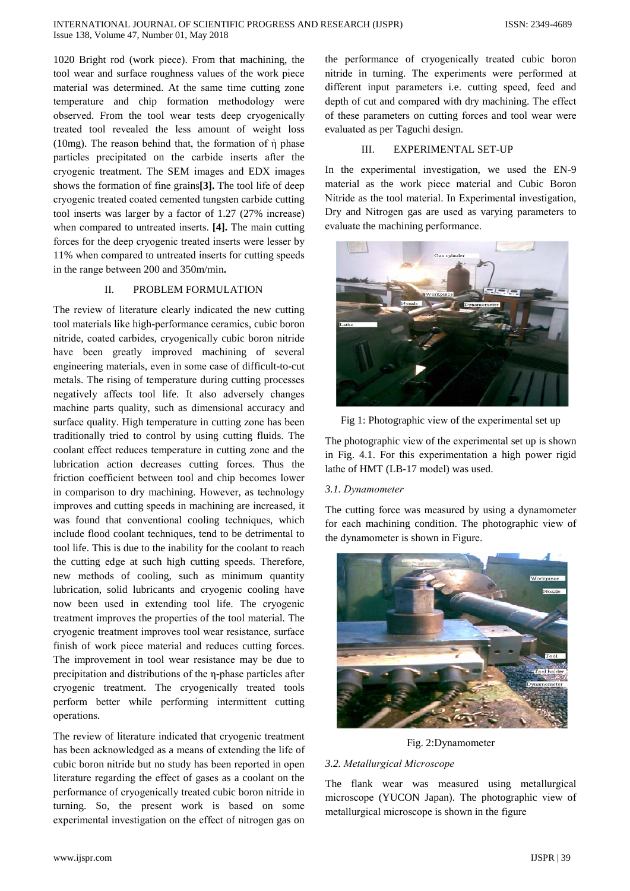1020 Bright rod (work piece). From that machining, the tool wear and surface roughness values of the work piece material was determined. At the same time cutting zone temperature and chip formation methodology were observed. From the tool wear tests deep cryogenically treated tool revealed the less amount of weight loss (10mg). The reason behind that, the formation of  $\dot{\eta}$  phase particles precipitated on the carbide inserts after the cryogenic treatment. The SEM images and EDX images shows the formation of fine grains[3]. The tool life of deep cryogenic treated coated cemented tungsten carbide cutting tool inserts was larger by a factor of 1.27 (27% increase) when compared to untreated inserts. [4]. The main cutting forces for the deep cryogenic treated inserts were lesser by 11% when compared to untreated inserts for cutting speeds in the range between 200 and 350m/min.

#### PROBLEM FORMULATION  $\mathbf{H}$

The review of literature clearly indicated the new cutting tool materials like high-performance ceramics, cubic boron nitride, coated carbides, cryogenically cubic boron nitride have been greatly improved machining of several engineering materials, even in some case of difficult-to-cut metals. The rising of temperature during cutting processes negatively affects tool life. It also adversely changes machine parts quality, such as dimensional accuracy and surface quality. High temperature in cutting zone has been traditionally tried to control by using cutting fluids. The coolant effect reduces temperature in cutting zone and the lubrication action decreases cutting forces. Thus the friction coefficient between tool and chip becomes lower in comparison to dry machining. However, as technology improves and cutting speeds in machining are increased, it was found that conventional cooling techniques, which include flood coolant techniques, tend to be detrimental to tool life. This is due to the inability for the coolant to reach the cutting edge at such high cutting speeds. Therefore, new methods of cooling, such as minimum quantity lubrication, solid lubricants and cryogenic cooling have now been used in extending tool life. The cryogenic treatment improves the properties of the tool material. The cryogenic treatment improves tool wear resistance, surface finish of work piece material and reduces cutting forces. The improvement in tool wear resistance may be due to precipitation and distributions of the *n*-phase particles after cryogenic treatment. The cryogenically treated tools perform better while performing intermittent cutting operations.

The review of literature indicated that cryogenic treatment has been acknowledged as a means of extending the life of cubic boron nitride but no study has been reported in open literature regarding the effect of gases as a coolant on the performance of cryogenically treated cubic boron nitride in turning. So, the present work is based on some experimental investigation on the effect of nitrogen gas on the performance of cryogenically treated cubic boron nitride in turning. The experiments were performed at different input parameters i.e. cutting speed, feed and depth of cut and compared with dry machining. The effect of these parameters on cutting forces and tool wear were evaluated as per Taguchi design.

#### $III$ **EXPERIMENTAL SET-UP**

In the experimental investigation, we used the EN-9 material as the work piece material and Cubic Boron Nitride as the tool material. In Experimental investigation, Dry and Nitrogen gas are used as varying parameters to evaluate the machining performance.



Fig 1: Photographic view of the experimental set up

The photographic view of the experimental set up is shown in Fig. 4.1. For this experimentation a high power rigid lathe of HMT (LB-17 model) was used.

# 3.1. Dynamometer

The cutting force was measured by using a dynamometer for each machining condition. The photographic view of the dynamometer is shown in Figure.



Fig. 2:Dynamometer

## 3.2. Metallurgical Microscope

The flank wear was measured using metallurgical microscope (YUCON Japan). The photographic view of metallurgical microscope is shown in the figure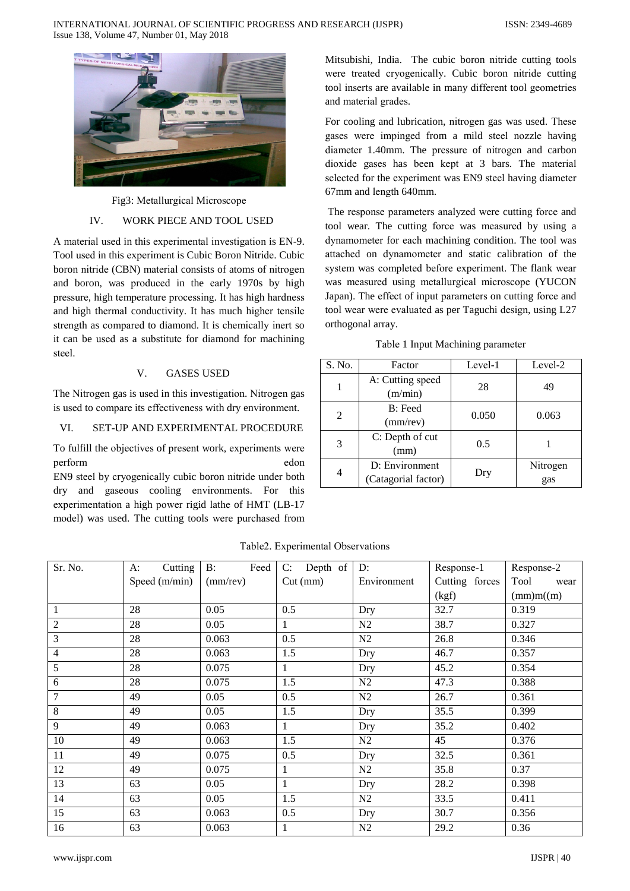

Fig3: Metallurgical Microscope

#### $IV.$ WORK PIECE AND TOOL USED

A material used in this experimental investigation is EN-9. Tool used in this experiment is Cubic Boron Nitride. Cubic boron nitride (CBN) material consists of atoms of nitrogen and boron, was produced in the early 1970s by high pressure, high temperature processing. It has high hardness and high thermal conductivity. It has much higher tensile strength as compared to diamond. It is chemically inert so it can be used as a substitute for diamond for machining steel.

#### $V_{\cdot}$ **GASES USED**

The Nitrogen gas is used in this investigation. Nitrogen gas is used to compare its effectiveness with dry environment.

#### VI. **SET-UP AND EXPERIMENTAL PROCEDURE**

To fulfill the objectives of present work, experiments were perform  $edon$ 

EN9 steel by cryogenically cubic boron nitride under both dry and gaseous cooling environments. For this experimentation a high power rigid lathe of HMT (LB-17) model) was used. The cutting tools were purchased from Mitsubishi, India. The cubic boron nitride cutting tools were treated cryogenically. Cubic boron nitride cutting tool inserts are available in many different tool geometries and material grades.

For cooling and lubrication, nitrogen gas was used. These gases were impinged from a mild steel nozzle having diameter 1.40mm. The pressure of nitrogen and carbon dioxide gases has been kept at 3 bars. The material selected for the experiment was EN9 steel having diameter 67mm and length 640mm.

The response parameters analyzed were cutting force and tool wear. The cutting force was measured by using a dynamometer for each machining condition. The tool was attached on dynamometer and static calibration of the system was completed before experiment. The flank wear was measured using metallurgical microscope (YUCON Japan). The effect of input parameters on cutting force and tool wear were evaluated as per Taguchi design, using L27 orthogonal array.

Table 1 Input Machining parameter

| S. No. | Factor                                | Level-1 | Level-2         |
|--------|---------------------------------------|---------|-----------------|
|        | A: Cutting speed<br>(m/min)           | 28      | 49              |
| 2      | B: Feed<br>$(mm$ /rev)                | 0.050   | 0.063           |
| 3      | C: Depth of cut<br>(mm)               | 0.5     |                 |
| 4      | D: Environment<br>(Catagorial factor) | Dry     | Nitrogen<br>gas |

| Sr. No.        | Cutting<br>A: | Feed<br>$\mathbf{B}$ : | C: Depth of | D:             | Response-1     | Response-2   |
|----------------|---------------|------------------------|-------------|----------------|----------------|--------------|
|                | Speed (m/min) | $(mm$ /rev $)$         | $Cut$ (mm)  | Environment    | Cutting forces | Tool<br>wear |
|                |               |                        |             |                | (kgf)          | (mm)m(m)     |
| $\mathbf{1}$   | 28            | 0.05                   | 0.5         | Dry            | 32.7           | 0.319        |
| $\mathbf{2}$   | 28            | 0.05                   |             | N2             | 38.7           | 0.327        |
| 3              | 28            | 0.063                  | 0.5         | N2             | 26.8           | 0.346        |
| $\overline{4}$ | 28            | 0.063                  | 1.5         | Dry            | 46.7           | 0.357        |
| 5              | 28            | 0.075                  | 1           | Dry            | 45.2           | 0.354        |
| 6              | 28            | 0.075                  | 1.5         | N2             | 47.3           | 0.388        |
| 7              | 49            | 0.05                   | 0.5         | N2             | 26.7           | 0.361        |
| $\,8\,$        | 49            | 0.05                   | 1.5         | Dry            | 35.5           | 0.399        |
| 9              | 49            | 0.063                  | 1           | Dry            | 35.2           | 0.402        |
| 10             | 49            | 0.063                  | 1.5         | N2             | 45             | 0.376        |
| 11             | 49            | 0.075                  | 0.5         | Dry            | 32.5           | 0.361        |
| 12             | 49            | 0.075                  | 1           | N2             | 35.8           | 0.37         |
| 13             | 63            | 0.05                   | 1           | Dry            | 28.2           | 0.398        |
| 14             | 63            | 0.05                   | 1.5         | N2             | 33.5           | 0.411        |
| 15             | 63            | 0.063                  | 0.5         | Dry            | 30.7           | 0.356        |
| 16             | 63            | 0.063                  |             | N <sub>2</sub> | 29.2           | 0.36         |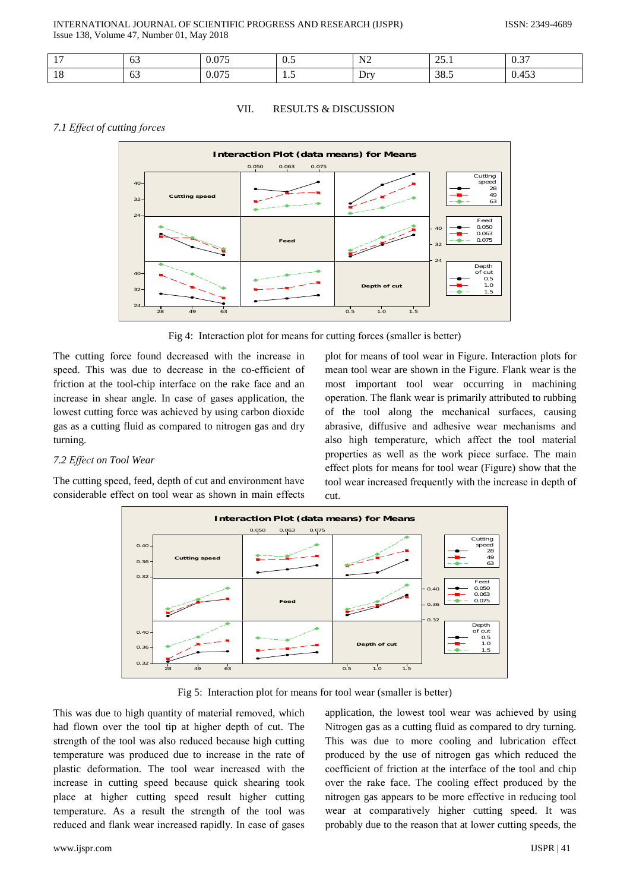## INTERNATIONAL JOURNAL OF SCIENTIFIC PROGRESS AND RESEARCH (IJSPR) Issue 138, Volume 47, Number 01, May 2018

| $\sim$               | $\sim$<br>63                     | $\bigcap \tau$<br>0.07 | $\Omega$<br>$v \cdot$ | N <sub>2</sub> | $\cap$<br>⊥ ، ب∠<br>____ | 0.27<br>U.S                    |
|----------------------|----------------------------------|------------------------|-----------------------|----------------|--------------------------|--------------------------------|
| 1 <sub>O</sub><br>10 | $\overline{\phantom{a}}$<br>- ხა | 075<br>0.075           | <b>1.J</b>            | Drv            | 38.5                     | $AC^{\sim}$<br>$\sim$<br>0.453 |

#### VII. **RESULTS & DISCUSSION**

# 7.1 Effect of cutting forces



Fig 4: Interaction plot for means for cutting forces (smaller is better)

The cutting force found decreased with the increase in speed. This was due to decrease in the co-efficient of friction at the tool-chip interface on the rake face and an increase in shear angle. In case of gases application, the lowest cutting force was achieved by using carbon dioxide gas as a cutting fluid as compared to nitrogen gas and dry turning.

## 7.2 Effect on Tool Wear

The cutting speed, feed, depth of cut and environment have considerable effect on tool wear as shown in main effects

plot for means of tool wear in Figure. Interaction plots for mean tool wear are shown in the Figure. Flank wear is the most important tool wear occurring in machining operation. The flank wear is primarily attributed to rubbing of the tool along the mechanical surfaces, causing abrasive, diffusive and adhesive wear mechanisms and also high temperature, which affect the tool material properties as well as the work piece surface. The main effect plots for means for tool wear (Figure) show that the tool wear increased frequently with the increase in depth of  $\text{cut}$ 



Fig 5: Interaction plot for means for tool wear (smaller is better)

This was due to high quantity of material removed, which had flown over the tool tip at higher depth of cut. The strength of the tool was also reduced because high cutting temperature was produced due to increase in the rate of plastic deformation. The tool wear increased with the increase in cutting speed because quick shearing took place at higher cutting speed result higher cutting temperature. As a result the strength of the tool was reduced and flank wear increased rapidly. In case of gases application, the lowest tool wear was achieved by using Nitrogen gas as a cutting fluid as compared to dry turning. This was due to more cooling and lubrication effect produced by the use of nitrogen gas which reduced the coefficient of friction at the interface of the tool and chip over the rake face. The cooling effect produced by the nitrogen gas appears to be more effective in reducing tool wear at comparatively higher cutting speed. It was probably due to the reason that at lower cutting speeds, the